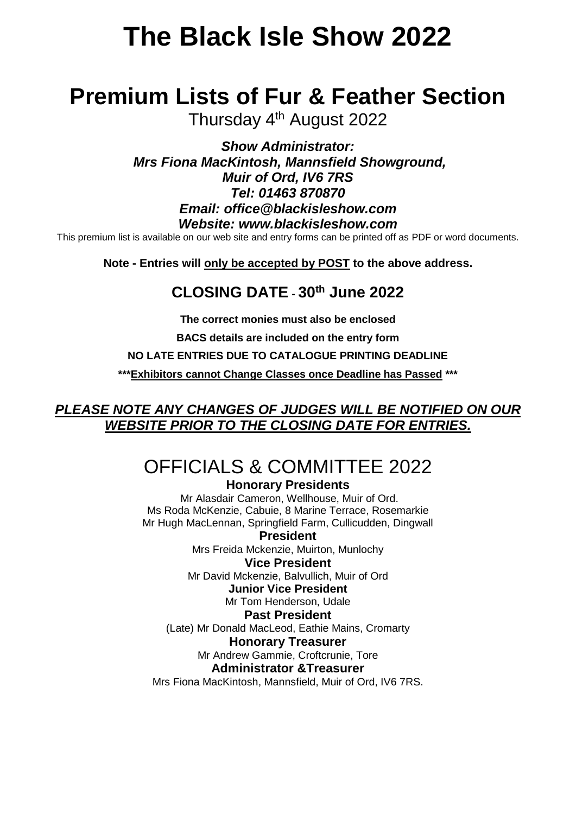# **The Black Isle Show 2022**

# **Premium Lists of Fur & Feather Section**

Thursday 4<sup>th</sup> August 2022

*Show Administrator: Mrs Fiona MacKintosh, Mannsfield Showground, Muir of Ord, IV6 7RS Tel: 01463 870870 Email: office@blackisleshow.com Website: www.blackisleshow.com*

This premium list is available on our web site and entry forms can be printed off as PDF or word documents.

**Note - Entries will only be accepted by POST to the above address.**

# **CLOSING DATE - 30th June 2022**

**The correct monies must also be enclosed**

**BACS details are included on the entry form**

**NO LATE ENTRIES DUE TO CATALOGUE PRINTING DEADLINE**

**\*\*\*Exhibitors cannot Change Classes once Deadline has Passed \*\*\***

## *PLEASE NOTE ANY CHANGES OF JUDGES WILL BE NOTIFIED ON OUR WEBSITE PRIOR TO THE CLOSING DATE FOR ENTRIES.*

# OFFICIALS & COMMITTEE 2022

#### **Honorary Presidents**

Mr Alasdair Cameron, Wellhouse, Muir of Ord. Ms Roda McKenzie, Cabuie, 8 Marine Terrace, Rosemarkie Mr Hugh MacLennan, Springfield Farm, Cullicudden, Dingwall

**President** Mrs Freida Mckenzie, Muirton, Munlochy **Vice President**

Mr David Mckenzie, Balvullich, Muir of Ord

### **Junior Vice President**

Mr Tom Henderson, Udale

### **Past President**

(Late) Mr Donald MacLeod, Eathie Mains, Cromarty

#### **Honorary Treasurer**

Mr Andrew Gammie, Croftcrunie, Tore

#### **Administrator &Treasurer**

Mrs Fiona MacKintosh, Mannsfield, Muir of Ord, IV6 7RS.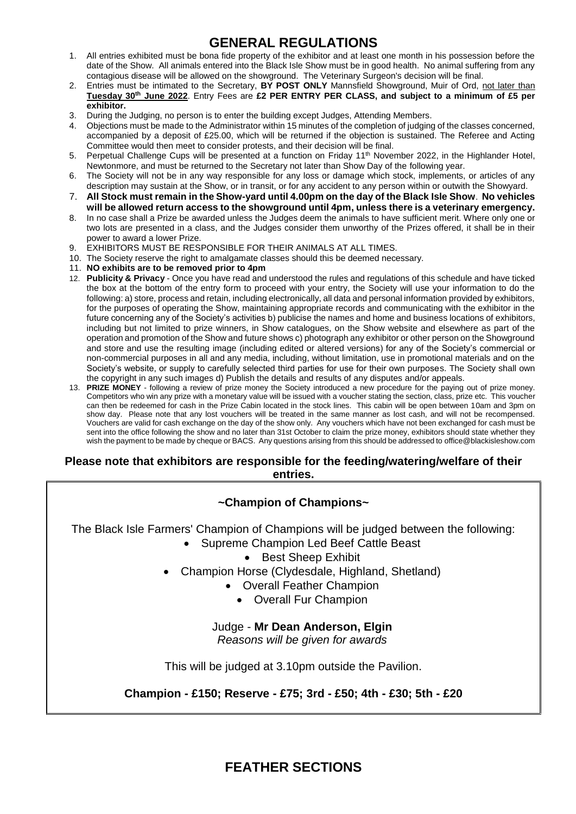## **GENERAL REGULATIONS**

- 1. All entries exhibited must be bona fide property of the exhibitor and at least one month in his possession before the date of the Show. All animals entered into the Black Isle Show must be in good health. No animal suffering from any contagious disease will be allowed on the showground. The Veterinary Surgeon's decision will be final.
- 2. Entries must be intimated to the Secretary, **BY POST ONLY** Mannsfield Showground, Muir of Ord, not later than **Tuesday 30th June 2022**. Entry Fees are **£2 PER ENTRY PER CLASS, and subject to a minimum of £5 per exhibitor.**
- 3. During the Judging, no person is to enter the building except Judges, Attending Members.
- 4. Objections must be made to the Administrator within 15 minutes of the completion of judging of the classes concerned, accompanied by a deposit of £25.00, which will be returned if the objection is sustained. The Referee and Acting Committee would then meet to consider protests, and their decision will be final.
- 5. Perpetual Challenge Cups will be presented at a function on Friday 11<sup>th</sup> November 2022, in the Highlander Hotel, Newtonmore, and must be returned to the Secretary not later than Show Day of the following year.
- 6. The Society will not be in any way responsible for any loss or damage which stock, implements, or articles of any description may sustain at the Show, or in transit, or for any accident to any person within or outwith the Showyard.
- 7. **All Stock must remain in the Show-yard until 4.00pm on the day of the Black Isle Show**. **No vehicles will be allowed return access to the showground until 4pm, unless there is a veterinary emergency.**
- 8. In no case shall a Prize be awarded unless the Judges deem the animals to have sufficient merit. Where only one or two lots are presented in a class, and the Judges consider them unworthy of the Prizes offered, it shall be in their power to award a lower Prize.
- 9. EXHIBITORS MUST BE RESPONSIBLE FOR THEIR ANIMALS AT ALL TIMES.
- 10. The Society reserve the right to amalgamate classes should this be deemed necessary.
- 11. **NO exhibits are to be removed prior to 4pm**
- 12. **Publicity & Privacy** Once you have read and understood the rules and regulations of this schedule and have ticked the box at the bottom of the entry form to proceed with your entry, the Society will use your information to do the following: a) store, process and retain, including electronically, all data and personal information provided by exhibitors, for the purposes of operating the Show, maintaining appropriate records and communicating with the exhibitor in the future concerning any of the Society's activities b) publicise the names and home and business locations of exhibitors, including but not limited to prize winners, in Show catalogues, on the Show website and elsewhere as part of the operation and promotion of the Show and future shows c) photograph any exhibitor or other person on the Showground and store and use the resulting image (including edited or altered versions) for any of the Society's commercial or non-commercial purposes in all and any media, including, without limitation, use in promotional materials and on the Society's website, or supply to carefully selected third parties for use for their own purposes. The Society shall own the copyright in any such images d) Publish the details and results of any disputes and/or appeals.
- 13. **PRIZE MONEY** following a review of prize money the Society introduced a new procedure for the paying out of prize money. Competitors who win any prize with a monetary value will be issued with a voucher stating the section, class, prize etc. This voucher can then be redeemed for cash in the Prize Cabin located in the stock lines. This cabin will be open between 10am and 3pm on show day. Please note that any lost vouchers will be treated in the same manner as lost cash, and will not be recompensed. Vouchers are valid for cash exchange on the day of the show only. Any vouchers which have not been exchanged for cash must be sent into the office following the show and no later than 31st October to claim the prize money, exhibitors should state whether they wish the payment to be made by cheque or BACS. Any questions arising from this should be addressed to office@blackisleshow.com

#### **Please note that exhibitors are responsible for the feeding/watering/welfare of their entries.**

#### **~Champion of Champions~**

- The Black Isle Farmers' Champion of Champions will be judged between the following:
	- Supreme Champion Led Beef Cattle Beast
		- Best Sheep Exhibit
	- Champion Horse (Clydesdale, Highland, Shetland)
		- Overall Feather Champion
			- Overall Fur Champion

#### Judge - **Mr Dean Anderson, Elgin**

*Reasons will be given for awards*

This will be judged at 3.10pm outside the Pavilion.

#### **Champion - £150; Reserve - £75; 3rd - £50; 4th - £30; 5th - £20**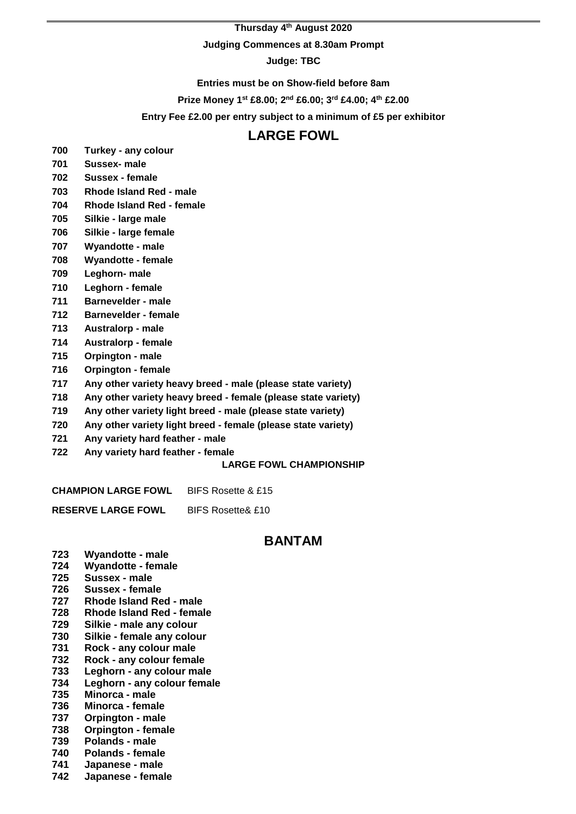#### **Thursday 4 th August 2020**

#### **Judging Commences at 8.30am Prompt**

**Judge: TBC**

**Entries must be on Show-field before 8am**

**Prize Money 1st £8.00; 2nd £6.00; 3rd £4.00; 4th £2.00**

**Entry Fee £2.00 per entry subject to a minimum of £5 per exhibitor**

#### **LARGE FOWL**

- **Turkey - any colour**
- **Sussex- male**
- **Sussex - female**
- **Rhode Island Red - male**
- **Rhode Island Red - female**
- **Silkie - large male**
- **Silkie - large female**
- **Wyandotte - male**
- **Wyandotte - female**
- **Leghorn- male**
- **Leghorn - female**
- **Barnevelder - male**
- **Barnevelder - female**
- **Australorp - male**
- **Australorp - female**
- **Orpington - male**
- **Orpington - female**
- **Any other variety heavy breed - male (please state variety)**
- **Any other variety heavy breed - female (please state variety)**
- **Any other variety light breed - male (please state variety)**
- **Any other variety light breed - female (please state variety)**
- **Any variety hard feather - male**
- **Any variety hard feather - female**

#### **LARGE FOWL CHAMPIONSHIP**

**CHAMPION LARGE FOWL** BIFS Rosette & £15

**RESERVE LARGE FOWL** BIFS Rosette& £10

#### **BANTAM**

- **Wyandotte - male**
- **Wyandotte - female Sussex - male**
- **Sussex - female**
- **Rhode Island Red - male**
- **Rhode Island Red - female**
- **Silkie - male any colour**
- **Silkie - female any colour**
- **Rock - any colour male**
- **Rock - any colour female**
- **Leghorn - any colour male**
- **Leghorn - any colour female**
- **Minorca - male**
- **Minorca - female**
- **Orpington - male**
- **Orpington - female**
- **Polands - male**
- **Polands - female**
- **Japanese - male**
- **Japanese - female**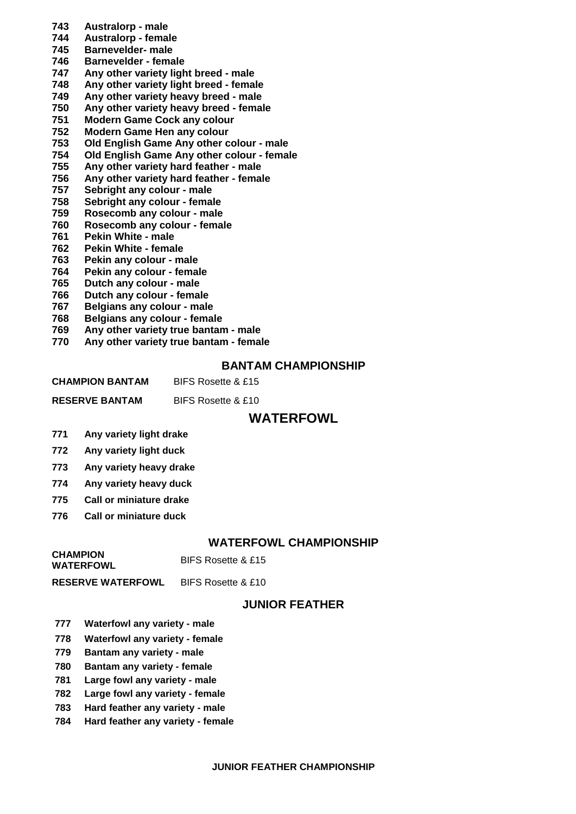- **Australorp - male**
- **Australorp - female**
- **Barnevelder- male**
- **Barnevelder - female**
- **Any other variety light breed - male**
- **Any other variety light breed - female**
- **Any other variety heavy breed - male**
- **Any other variety heavy breed - female**
- **Modern Game Cock any colour**
- **Modern Game Hen any colour Old English Game Any other colour - male**
- **Old English Game Any other colour - female**
- **Any other variety hard feather - male**
- **Any other variety hard feather - female**
- **Sebright any colour - male**
- **Sebright any colour - female**
- **Rosecomb any colour - male**
- **Rosecomb any colour - female**
- **Pekin White - male**
- **Pekin White - female**
- **Pekin any colour - male**
- **Pekin any colour - female**
- **Dutch any colour - male**
- **Dutch any colour - female**
- **Belgians any colour - male**
- **Belgians any colour - female**
- **Any other variety true bantam - male**
- **Any other variety true bantam - female**

#### **BANTAM CHAMPIONSHIP**

| <b>CHAMPION BANTAM</b> | BIFS Rosette & £15 |
|------------------------|--------------------|
|                        |                    |

#### **WATERFOWL**

- **Any variety light drake**
- **Any variety light duck**
- **Any variety heavy drake**
- **Any variety heavy duck**
- **Call or miniature drake**
- **Call or miniature duck**

#### **WATERFOWL CHAMPIONSHIP**

**CHAMPION BIFS Rosette & £15** 

**RESERVE WATERFOWL** BIFS Rosette & £10

#### **JUNIOR FEATHER**

- **Waterfowl any variety - male**
- **Waterfowl any variety - female**
- **Bantam any variety - male**
- **Bantam any variety - female**
- **Large fowl any variety - male**
- **Large fowl any variety - female**
- **Hard feather any variety - male**
- **Hard feather any variety - female**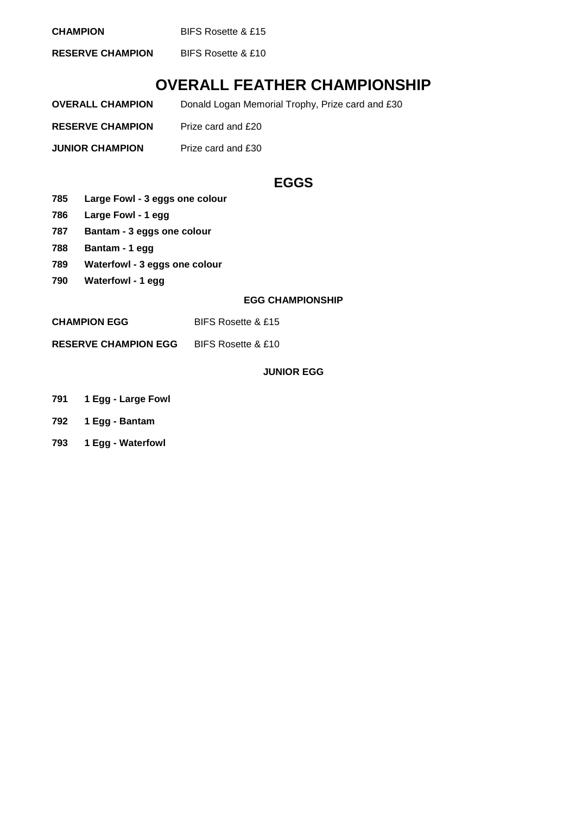**CHAMPION** BIFS Rosette & £15

**RESERVE CHAMPION** BIFS Rosette & £10

# **OVERALL FEATHER CHAMPIONSHIP**

| <b>OVERALL CHAMPION</b> | Donald Logan Memorial Trophy, Prize card and £30 |
|-------------------------|--------------------------------------------------|
| <b>RESERVE CHAMPION</b> | Prize card and £20                               |
| <b>JUNIOR CHAMPION</b>  | Prize card and £30                               |

## **EGGS**

- **785 Large Fowl - 3 eggs one colour**
- **786 Large Fowl - 1 egg**
- **787 Bantam - 3 eggs one colour**
- **788 Bantam - 1 egg**
- **789 Waterfowl - 3 eggs one colour**
- **790 Waterfowl - 1 egg**

#### **EGG CHAMPIONSHIP**

**CHAMPION EGG** BIFS Rosette & £15

**RESERVE CHAMPION EGG** BIFS Rosette & £10

#### **JUNIOR EGG**

- **791 1 Egg - Large Fowl**
- **792 1 Egg - Bantam**
- **793 1 Egg - Waterfowl**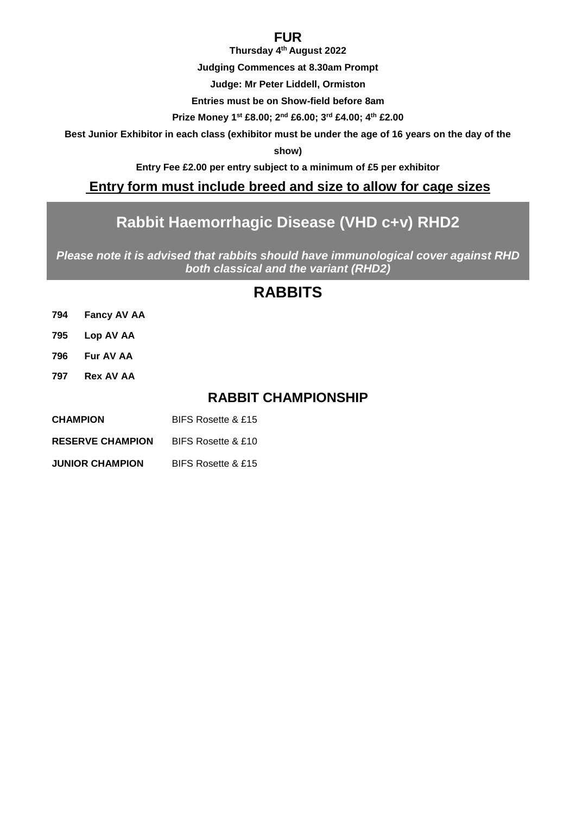#### **FUR**

**Thursday 4 th August 2022**

**Judging Commences at 8.30am Prompt**

**Judge: Mr Peter Liddell, Ormiston**

**Entries must be on Show-field before 8am**

**Prize Money 1st £8.00; 2nd £6.00; 3rd £4.00; 4th £2.00**

**Best Junior Exhibitor in each class (exhibitor must be under the age of 16 years on the day of the** 

**show)**

**Entry Fee £2.00 per entry subject to a minimum of £5 per exhibitor**

#### **Entry form must include breed and size to allow for cage sizes**

# **Rabbit Haemorrhagic Disease (VHD c+v) RHD2**

*Please note it is advised that rabbits should have immunological cover against RHD both classical and the variant (RHD2)*

# **RABBITS**

| 794 | <b>Fancy AV AA</b> |
|-----|--------------------|
| 795 | Lop AV AA          |

- **796 Fur AV AA**
- **797 Rex AV AA**

## **RABBIT CHAMPIONSHIP**

| BIFS Rosette & £15 |
|--------------------|
|                    |

**RESERVE CHAMPION** BIFS Rosette & £10

**JUNIOR CHAMPION** BIFS Rosette & £15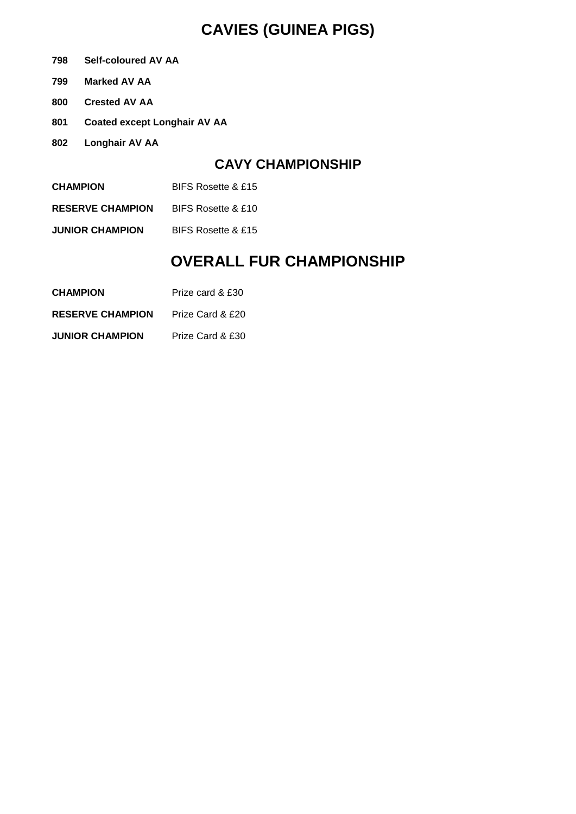# **CAVIES (GUINEA PIGS)**

- **798 Self-coloured AV AA**
- **799 Marked AV AA**
- **800 Crested AV AA**
- **801 Coated except Longhair AV AA**
- **802 Longhair AV AA**

#### **CAVY CHAMPIONSHIP**

- **CHAMPION** BIFS Rosette & £15
- **RESERVE CHAMPION** BIFS Rosette & £10
- **JUNIOR CHAMPION** BIFS Rosette & £15

# **OVERALL FUR CHAMPIONSHIP**

- **CHAMPION** Prize card & £30
- **RESERVE CHAMPION** Prize Card & £20
- **JUNIOR CHAMPION** Prize Card & £30